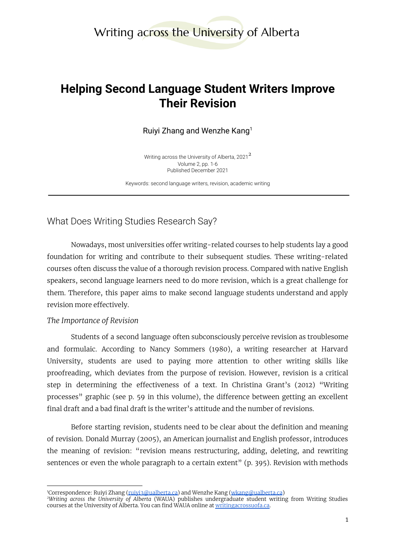# Writing across the University of Alberta

# **Helping Second Language Student Writers Improve Their Revision**

Ruiyi Zhang and Wenzhe Kang<sup>1</sup>

Writing across the University of Alberta, 2021 $^{\mathsf{2}}$ Volume 2, pp. 1-6 Published December 2021

Keywords: second language writers, revision, academic writing

What Does Writing Studies Research Say?

Nowadays, most universities offer writing-related courses to help students lay a good foundation for writing and contribute to their subsequent studies. These writing-related courses often discuss the value of a thorough revision process. Compared with native English speakers, second language learners need to do more revision, which is a great challenge for them. Therefore, this paper aims to make second language students understand and apply revision more effectively.

#### *The Importance of Revision*

Students of a second language often subconsciously perceive revision as troublesome and formulaic. According to Nancy Sommers (1980), a writing researcher at Harvard University, students are used to paying more attention to other writing skills like proofreading, which deviates from the purpose of revision. However, revision is a critical step in determining the effectiveness of a text. In Christina Grant's (2012) "Writing processes" graphic (see p. 59 in this volume), the difference between getting an excellent final draft and a bad final draft is the writer's attitude and the number of revisions.

Before starting revision, students need to be clear about the definition and meaning of revision. Donald Murray (2005), an American journalist and English professor, introduces the meaning of revision: "revision means restructuring, adding, deleting, and rewriting sentences or even the whole paragraph to a certain extent" (p. 395). Revision with methods

<sup>&</sup>lt;sup>1</sup>Correspondence: Ruiyi Zhang (<u>ruiyi3@ualberta.ca</u>) and Wenzhe Kang (<u>[wkang@ualberta.ca](mailto:wkang@ualberta.ca))</u>

*<sup>2</sup>Writing across the University of Alberta* (WAUA) publishes undergraduate student writing from Writing Studies courses at the University of Alberta. You can find WAUA online at [writingacrossuofa.ca.](https://writingacrossuofa.ca/)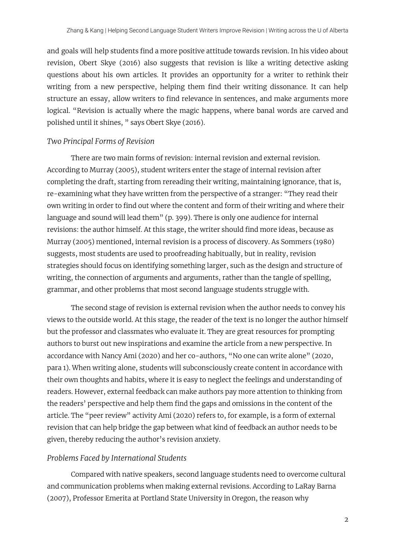and goals will help students find a more positive attitude towards revision. In his video about revision, Obert Skye (2016) also suggests that revision is like a writing detective asking questions about his own articles. It provides an opportunity for a writer to rethink their writing from a new perspective, helping them find their writing dissonance. It can help structure an essay, allow writers to find relevance in sentences, and make arguments more logical. "Revision is actually where the magic happens, where banal words are carved and polished until it shines, " says Obert Skye (2016).

#### *Two Principal Forms of Revision*

There are two main forms of revision: internal revision and external revision. According to Murray (2005), student writers enter the stage of internal revision after completing the draft, starting from rereading their writing, maintaining ignorance, that is, re-examining what they have written from the perspective of a stranger: "They read their own writing in order to find out where the content and form of their writing and where their language and sound will lead them" (p. 399). There is only one audience for internal revisions: the author himself. At this stage, the writer should find more ideas, because as Murray (2005) mentioned, internal revision is a process of discovery. As Sommers (1980) suggests, most students are used to proofreading habitually, but in reality, revision strategies should focus on identifying something larger, such as the design and structure of writing, the connection of arguments and arguments, rather than the tangle of spelling, grammar, and other problems that most second language students struggle with.

The second stage of revision is external revision when the author needs to convey his views to the outside world. At this stage, the reader of the text is no longer the author himself but the professor and classmates who evaluate it. They are great resources for prompting authors to burst out new inspirations and examine the article from a new perspective. In accordance with Nancy Ami (2020) and her co-authors, "No one can write alone" (2020, para 1). When writing alone, students will subconsciously create content in accordance with their own thoughts and habits, where it is easy to neglect the feelings and understanding of readers. However, external feedback can make authors pay more attention to thinking from the readers' perspective and help them find the gaps and omissions in the content of the article. The "peer review" activity Ami (2020) refers to, for example, is a form of external revision that can help bridge the gap between what kind of feedback an author needs to be given, thereby reducing the author's revision anxiety.

#### *Problems Faced by International Students*

Compared with native speakers, second language students need to overcome cultural and communication problems when making external revisions. According to LaRay Barna (2007), Professor Emerita at Portland State University in Oregon, the reason why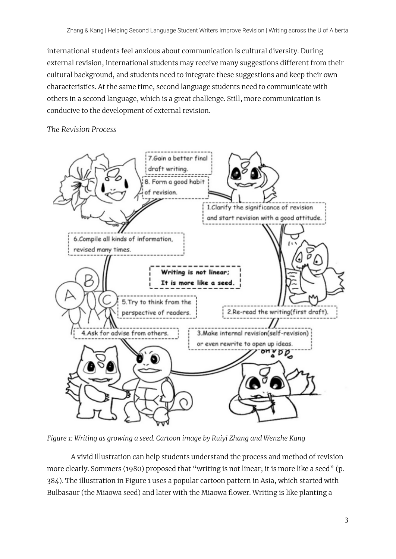international students feel anxious about communication is cultural diversity. During external revision, international students may receive many suggestions different from their cultural background, and students need to integrate these suggestions and keep their own characteristics. At the same time, second language students need to communicate with others in a second language, which is a great challenge. Still, more communication is conducive to the development of external revision.

#### *The Revision Process*



*Figure 1: Writing as growing a seed. Cartoon image by Ruiyi Zhang and Wenzhe Kang*

A vivid illustration can help students understand the process and method of revision more clearly. Sommers (1980) proposed that "writing is not linear; it is more like a seed" (p. 384). The illustration in Figure 1 uses a popular cartoon pattern in Asia, which started with Bulbasaur (the Miaowa seed) and later with the Miaowa flower. Writing is like planting a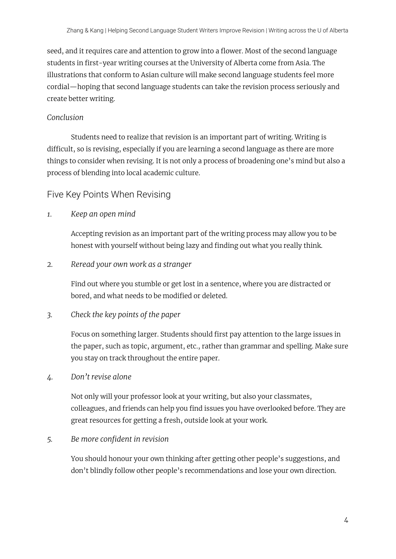seed, and it requires care and attention to grow into a flower. Most of the second language students in first-year writing courses at the University of Alberta come from Asia. The illustrations that conform to Asian culture will make second language students feel more cordial—hoping that second language students can take the revision process seriously and create better writing.

### *Conclusion*

Students need to realize that revision is an important part of writing. Writing is difficult, so is revising, especially if you are learning a second language as there are more things to consider when revising. It is not only a process of broadening one's mind but also a process of blending into local academic culture.

## Five Key Points When Revising

*1. Keep an open mind*

Accepting revision as an important part of the writing process may allow you to be honest with yourself without being lazy and finding out what you really think.

*2. Reread your own work as a stranger*

Find out where you stumble or get lost in a sentence, where you are distracted or bored, and what needs to be modified or deleted.

### *3. Check the key points of the paper*

Focus on something larger. Students should first pay attention to the large issues in the paper, such as topic, argument, etc., rather than grammar and spelling. Make sure you stay on track throughout the entire paper.

*4. Don't revise alone*

Not only will your professor look at your writing, but also your classmates, colleagues, and friends can help you find issues you have overlooked before. They are great resources for getting a fresh, outside look at your work.

## *5. Be more confident in revision*

You should honour your own thinking after getting other people's suggestions, and don't blindly follow other people's recommendations and lose your own direction.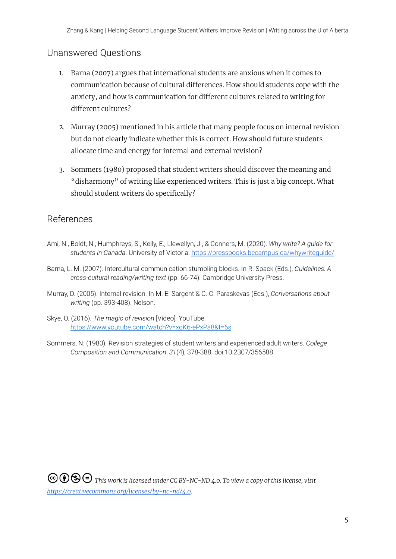## Unanswered Questions

- 1. Barna (2007) argues that international students are anxious when it comes to communication because of cultural differences. How should students cope with the anxiety, and how is communication for different cultures related to writing for different cultures?
- 2. Murray (2005) mentioned in his article that many people focus on internal revision but do not clearly indicate whether this is correct. How should future students allocate time and energy for internal and external revision?
- 3. Sommers (1980) proposed that student writers should discover the meaning and "disharmony" of writing like experienced writers. This is just a big concept. What should student writers do specifically?

## **References**

- Ami, N., Boldt, N., Humphreys, S., Kelly, E., Llewellyn, J., & Conners, M. (2020). *Why write? A guide for students in Canada*. University of Victoria. <https://pressbooks.bccampus.ca/whywriteguide/>
- Barna, L. M. (2007). Intercultural communication stumbling blocks. In R. Spack (Eds.), *Guidelines: A cross-cultural reading/writing text* (pp. 66-74). Cambridge University Press.
- Murray, D. (2005). Internal revision. In M. E. Sargent & C. C. Paraskevas (Eds.), *Conversations about writing* (pp. 393-408). Nelson.
- Skye, O. (2016). *The magic of revision* [Video]*.* YouTube. <https://www.youtube.com/watch?v=xqK6-ePxPa8&t=6s>
- Sommers, N. (1980). Revision strategies of student writers and experienced adult writers. *College Composition and Communication*, *31*(4), 378-388. doi:10.2307/356588